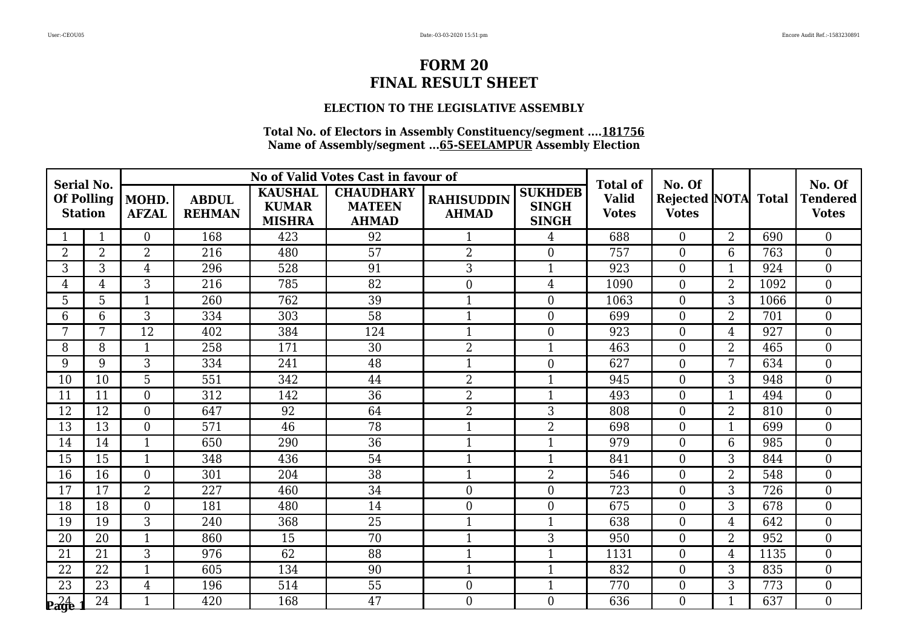### **ELECTION TO THE LEGISLATIVE ASSEMBLY**

| <b>Serial No.</b>                   |                |                       |                               |                                                 | No of Valid Votes Cast in favour of               |                                   |                                                | <b>Total of</b>              | No. Of                               |                |              | No. Of                          |
|-------------------------------------|----------------|-----------------------|-------------------------------|-------------------------------------------------|---------------------------------------------------|-----------------------------------|------------------------------------------------|------------------------------|--------------------------------------|----------------|--------------|---------------------------------|
| <b>Of Polling</b><br><b>Station</b> |                | MOHD.<br><b>AFZAL</b> | <b>ABDUL</b><br><b>REHMAN</b> | <b>KAUSHAL</b><br><b>KUMAR</b><br><b>MISHRA</b> | <b>CHAUDHARY</b><br><b>MATEEN</b><br><b>AHMAD</b> | <b>RAHISUDDIN</b><br><b>AHMAD</b> | <b>SUKHDEB</b><br><b>SINGH</b><br><b>SINGH</b> | <b>Valid</b><br><b>Votes</b> | <b>Rejected NOTA</b><br><b>Votes</b> |                | <b>Total</b> | <b>Tendered</b><br><b>Votes</b> |
|                                     | 1              | $\Omega$              | 168                           | 423                                             | 92                                                | $\mathbf{1}$                      | 4                                              | 688                          | $\overline{0}$                       | $\overline{2}$ | 690          | $\theta$                        |
| $\overline{2}$                      | $\overline{2}$ | $\overline{2}$        | 216                           | 480                                             | 57                                                | $\overline{2}$                    | $\overline{0}$                                 | 757                          | $\boldsymbol{0}$                     | 6              | 763          | $\overline{0}$                  |
| 3                                   | 3              | $\overline{4}$        | 296                           | 528                                             | 91                                                | $\overline{3}$                    | $\mathbf{1}$                                   | 923                          | $\boldsymbol{0}$                     | $\mathbf{1}$   | 924          | $\boldsymbol{0}$                |
| $\overline{4}$                      | $\overline{4}$ | 3                     | 216                           | 785                                             | 82                                                | $\boldsymbol{0}$                  | $\overline{4}$                                 | 1090                         | $\overline{0}$                       | $\overline{2}$ | 1092         | $\overline{0}$                  |
| 5                                   | 5              | $\mathbf{1}$          | 260                           | 762                                             | $\overline{39}$                                   | $\mathbf{1}$                      | $\overline{0}$                                 | 1063                         | $\overline{0}$                       | 3              | 1066         | $\overline{0}$                  |
| 6                                   | 6              | 3                     | 334                           | 303                                             | 58                                                | $\mathbf{1}$                      | $\overline{0}$                                 | 699                          | $\overline{0}$                       | $\overline{2}$ | 701          | $\mathbf{0}$                    |
| 7                                   | 7              | 12                    | 402                           | 384                                             | 124                                               | $\mathbf{1}$                      | $\boldsymbol{0}$                               | 923                          | $\overline{0}$                       | $\overline{4}$ | 927          | $\theta$                        |
| 8                                   | 8              | $\mathbf{1}$          | 258                           | 171                                             | 30                                                | $\overline{2}$                    | $\mathbf{1}$                                   | 463                          | $\boldsymbol{0}$                     | $\overline{2}$ | 465          | $\overline{0}$                  |
| 9                                   | 9              | 3                     | 334                           | 241                                             | 48                                                | $\mathbf{1}$                      | $\overline{0}$                                 | 627                          | $\overline{0}$                       | 7              | 634          | $\boldsymbol{0}$                |
| 10                                  | 10             | $\overline{5}$        | 551                           | 342                                             | 44                                                | $\overline{2}$                    | $\mathbf{1}$                                   | 945                          | $\overline{0}$                       | 3              | 948          | $\theta$                        |
| 11                                  | 11             | $\overline{0}$        | 312                           | 142                                             | 36                                                | $\overline{2}$                    | $\mathbf{1}$                                   | 493                          | $\overline{0}$                       | 1              | 494          | $\overline{0}$                  |
| 12                                  | 12             | $\overline{0}$        | 647                           | 92                                              | 64                                                | $\overline{2}$                    | 3                                              | 808                          | $\overline{0}$                       | $\overline{2}$ | 810          | $\overline{0}$                  |
| 13                                  | 13             | $\overline{0}$        | 571                           | 46                                              | 78                                                | $\mathbf{1}$                      | $\overline{2}$                                 | 698                          | $\boldsymbol{0}$                     | $\mathbf{1}$   | 699          | $\boldsymbol{0}$                |
| 14                                  | 14             | $\mathbf{1}$          | 650                           | 290                                             | 36                                                | $\mathbf{1}$                      | $\mathbf{1}$                                   | 979                          | $\overline{0}$                       | 6              | 985          | $\overline{0}$                  |
| 15                                  | 15             | $\mathbf{1}$          | 348                           | 436                                             | 54                                                | $\mathbf{1}$                      | $\mathbf{1}$                                   | 841                          | $\overline{0}$                       | 3              | 844          | $\overline{0}$                  |
| 16                                  | 16             | $\overline{0}$        | 301                           | 204                                             | 38                                                | $\mathbf{1}$                      | $\overline{2}$                                 | 546                          | $\overline{0}$                       | $\overline{2}$ | 548          | $\overline{0}$                  |
| 17                                  | 17             | $\overline{2}$        | 227                           | 460                                             | 34                                                | $\boldsymbol{0}$                  | $\boldsymbol{0}$                               | 723                          | $\boldsymbol{0}$                     | 3              | 726          | $\boldsymbol{0}$                |
| 18                                  | 18             | $\overline{0}$        | 181                           | 480                                             | 14                                                | $\boldsymbol{0}$                  | $\overline{0}$                                 | 675                          | $\overline{0}$                       | 3              | 678          | $\overline{0}$                  |
| 19                                  | 19             | 3                     | 240                           | 368                                             | 25                                                | $\mathbf{1}$                      | $\mathbf{1}$                                   | 638                          | $\overline{0}$                       | $\overline{4}$ | 642          | $\overline{0}$                  |
| 20                                  | 20             | $\mathbf{1}$          | 860                           | 15                                              | 70                                                | $\mathbf{1}$                      | 3                                              | 950                          | $\overline{0}$                       | $\overline{2}$ | 952          | $\boldsymbol{0}$                |
| 21                                  | 21             | $\overline{3}$        | 976                           | $\overline{62}$                                 | 88                                                | $\mathbf{1}$                      | $\mathbf{1}$                                   | 1131                         | $\overline{0}$                       | 4              | 1135         | $\theta$                        |
| 22                                  | 22             | $\mathbf{1}$          | 605                           | 134                                             | 90                                                | $\mathbf 1$                       | $\mathbf{1}$                                   | 832                          | $\boldsymbol{0}$                     | 3              | 835          | $\boldsymbol{0}$                |
| 23                                  | 23             | $\overline{4}$        | 196                           | 514                                             | 55                                                | $\boldsymbol{0}$                  | $\mathbf{1}$                                   | 770                          | $\overline{0}$                       | $\mathfrak{Z}$ | 773          | $\mathbf{0}$                    |
| $P_{\rm{angle}}^{24}$               | 24             | $\mathbf{1}$          | 420                           | 168                                             | 47                                                | $\theta$                          | $\overline{0}$                                 | 636                          | $\overline{0}$                       | 1              | 637          | $\overline{0}$                  |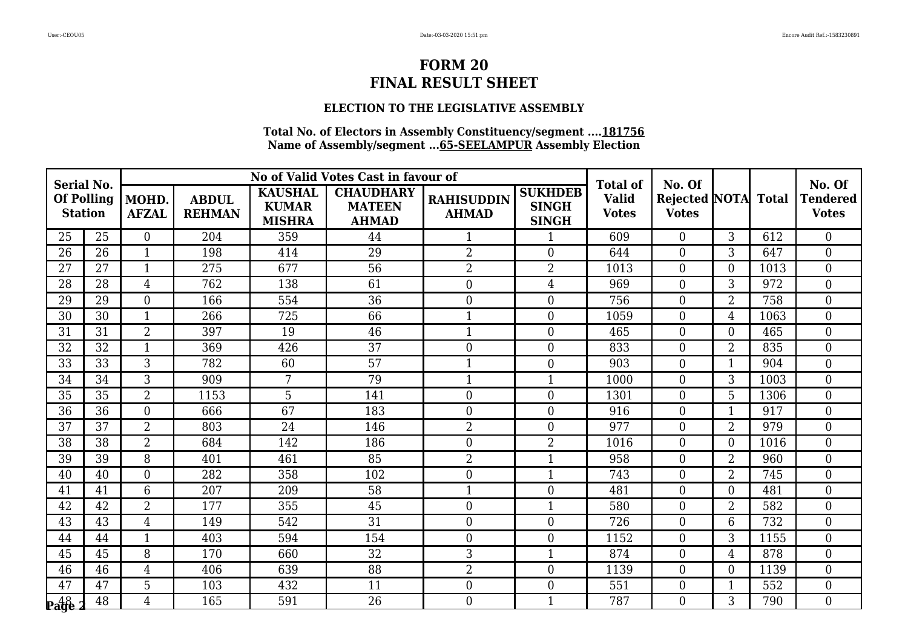### **ELECTION TO THE LEGISLATIVE ASSEMBLY**

| <b>Serial No.</b>                   |    |                       |                               |                                                 | No of Valid Votes Cast in favour of               |                                   |                                                | <b>Total of</b>              | No. Of                              |                |      | No. Of                          |
|-------------------------------------|----|-----------------------|-------------------------------|-------------------------------------------------|---------------------------------------------------|-----------------------------------|------------------------------------------------|------------------------------|-------------------------------------|----------------|------|---------------------------------|
| <b>Of Polling</b><br><b>Station</b> |    | MOHD.<br><b>AFZAL</b> | <b>ABDUL</b><br><b>REHMAN</b> | <b>KAUSHAL</b><br><b>KUMAR</b><br><b>MISHRA</b> | <b>CHAUDHARY</b><br><b>MATEEN</b><br><b>AHMAD</b> | <b>RAHISUDDIN</b><br><b>AHMAD</b> | <b>SUKHDEB</b><br><b>SINGH</b><br><b>SINGH</b> | <b>Valid</b><br><b>Votes</b> | Rejected NOTA Total<br><b>Votes</b> |                |      | <b>Tendered</b><br><b>Votes</b> |
| 25                                  | 25 | $\overline{0}$        | 204                           | 359                                             | 44                                                | 1                                 | $\mathbf{1}$                                   | 609                          | $\overline{0}$                      | 3              | 612  | $\theta$                        |
| 26                                  | 26 | $\mathbf{1}$          | 198                           | 414                                             | 29                                                | $\overline{2}$                    | $\boldsymbol{0}$                               | 644                          | $\boldsymbol{0}$                    | 3              | 647  | $\overline{0}$                  |
| 27                                  | 27 | $\mathbf{1}$          | 275                           | 677                                             | $\overline{56}$                                   | $\overline{2}$                    | $\overline{2}$                                 | 1013                         | $\boldsymbol{0}$                    | $\overline{0}$ | 1013 | $\boldsymbol{0}$                |
| 28                                  | 28 | $\overline{4}$        | 762                           | 138                                             | 61                                                | $\boldsymbol{0}$                  | $\overline{4}$                                 | 969                          | $\boldsymbol{0}$                    | 3              | 972  | $\overline{0}$                  |
| 29                                  | 29 | $\overline{0}$        | 166                           | 554                                             | $\overline{36}$                                   | $\overline{0}$                    | $\boldsymbol{0}$                               | 756                          | $\boldsymbol{0}$                    | $\overline{2}$ | 758  | $\overline{0}$                  |
| 30                                  | 30 | $\mathbf{1}$          | 266                           | 725                                             | 66                                                | $\mathbf{1}$                      | $\boldsymbol{0}$                               | 1059                         | $\overline{0}$                      | $\overline{4}$ | 1063 | $\boldsymbol{0}$                |
| 31                                  | 31 | $\overline{2}$        | 397                           | 19                                              | 46                                                | $\mathbf{1}$                      | $\boldsymbol{0}$                               | 465                          | $\boldsymbol{0}$                    | $\theta$       | 465  | $\overline{0}$                  |
| 32                                  | 32 | $\mathbf{1}$          | 369                           | 426                                             | $\overline{37}$                                   | $\boldsymbol{0}$                  | $\boldsymbol{0}$                               | 833                          | $\boldsymbol{0}$                    | $\overline{2}$ | 835  | $\boldsymbol{0}$                |
| 33                                  | 33 | 3                     | 782                           | 60                                              | 57                                                | $\mathbf{1}$                      | $\boldsymbol{0}$                               | 903                          | $\boldsymbol{0}$                    | 1              | 904  | $\boldsymbol{0}$                |
| 34                                  | 34 | $\overline{3}$        | 909                           | 7                                               | 79                                                | $\mathbf{1}$                      | $\mathbf{1}$                                   | 1000                         | $\overline{0}$                      | 3              | 1003 | $\theta$                        |
| 35                                  | 35 | $\overline{2}$        | 1153                          | 5                                               | 141                                               | $\overline{0}$                    | $\boldsymbol{0}$                               | 1301                         | $\boldsymbol{0}$                    | 5              | 1306 | $\overline{0}$                  |
| 36                                  | 36 | $\overline{0}$        | 666                           | 67                                              | 183                                               | $\boldsymbol{0}$                  | $\boldsymbol{0}$                               | 916                          | $\boldsymbol{0}$                    | -1             | 917  | $\overline{0}$                  |
| 37                                  | 37 | $\overline{2}$        | 803                           | 24                                              | 146                                               | $\overline{2}$                    | $\boldsymbol{0}$                               | 977                          | $\boldsymbol{0}$                    | $\overline{2}$ | 979  | $\boldsymbol{0}$                |
| 38                                  | 38 | $\overline{2}$        | 684                           | 142                                             | 186                                               | $\overline{0}$                    | $\overline{2}$                                 | 1016                         | $\overline{0}$                      | $\overline{0}$ | 1016 | $\overline{0}$                  |
| 39                                  | 39 | 8                     | 401                           | 461                                             | 85                                                | $\overline{2}$                    | $\mathbf{1}$                                   | 958                          | $\overline{0}$                      | $\overline{2}$ | 960  | $\overline{0}$                  |
| 40                                  | 40 | $\overline{0}$        | 282                           | 358                                             | 102                                               | $\mathbf{0}$                      | $\mathbf{1}$                                   | 743                          | $\boldsymbol{0}$                    | $\overline{2}$ | 745  | $\boldsymbol{0}$                |
| 41                                  | 41 | 6                     | 207                           | 209                                             | 58                                                | $\mathbf{1}$                      | $\boldsymbol{0}$                               | 481                          | $\boldsymbol{0}$                    | $\theta$       | 481  | $\boldsymbol{0}$                |
| 42                                  | 42 | $\overline{2}$        | 177                           | 355                                             | 45                                                | $\overline{0}$                    | $\mathbf{1}$                                   | 580                          | $\boldsymbol{0}$                    | $\overline{2}$ | 582  | $\overline{0}$                  |
| 43                                  | 43 | $\overline{4}$        | 149                           | 542                                             | $\overline{31}$                                   | $\overline{0}$                    | $\boldsymbol{0}$                               | 726                          | $\overline{0}$                      | 6              | 732  | $\overline{0}$                  |
| 44                                  | 44 | $\mathbf{1}$          | 403                           | 594                                             | 154                                               | $\boldsymbol{0}$                  | $\boldsymbol{0}$                               | 1152                         | $\boldsymbol{0}$                    | 3              | 1155 | $\boldsymbol{0}$                |
| 45                                  | 45 | 8                     | 170                           | 660                                             | 32                                                | 3                                 | $\mathbf{1}$                                   | 874                          | $\overline{0}$                      | $\overline{4}$ | 878  | $\overline{0}$                  |
| 46                                  | 46 | $\overline{4}$        | 406                           | 639                                             | 88                                                | $\overline{2}$                    | $\boldsymbol{0}$                               | 1139                         | $\boldsymbol{0}$                    | $\overline{0}$ | 1139 | $\overline{0}$                  |
| 47                                  | 47 | 5                     | 103                           | 432                                             | 11                                                | $\boldsymbol{0}$                  | $\boldsymbol{0}$                               | 551                          | $\boldsymbol{0}$                    | $\mathbf 1$    | 552  | $\boldsymbol{0}$                |
| <b>Page</b>                         | 48 | $\overline{4}$        | 165                           | 591                                             | 26                                                | $\theta$                          | $\mathbf{1}$                                   | 787                          | $\overline{0}$                      | 3              | 790  | $\overline{0}$                  |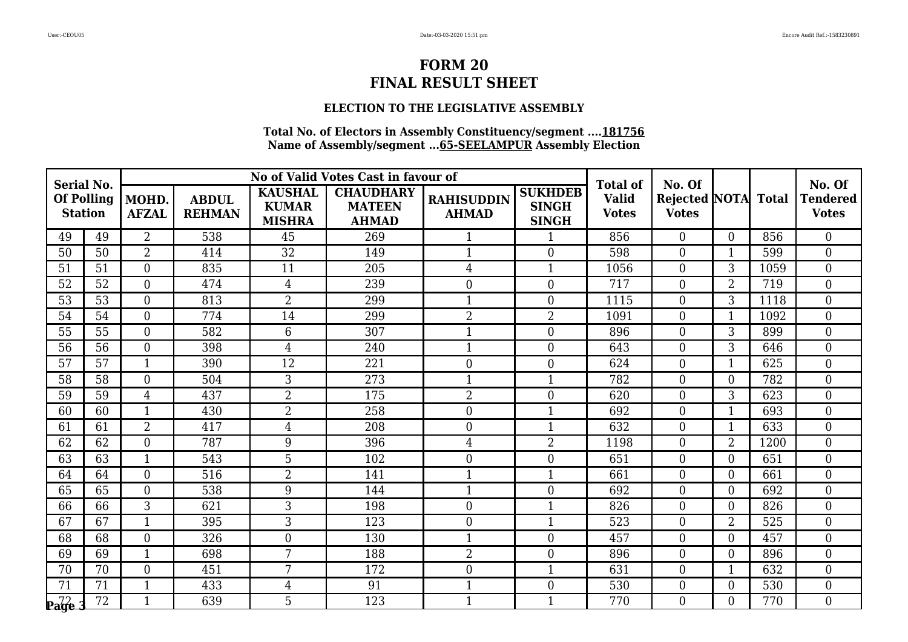### **ELECTION TO THE LEGISLATIVE ASSEMBLY**

| <b>Serial No.</b>                   |    |                       |                               |                                                 | No of Valid Votes Cast in favour of               |                                   |                                                | <b>Total of</b>              | No. Of                              |                |      | No. Of                          |
|-------------------------------------|----|-----------------------|-------------------------------|-------------------------------------------------|---------------------------------------------------|-----------------------------------|------------------------------------------------|------------------------------|-------------------------------------|----------------|------|---------------------------------|
| <b>Of Polling</b><br><b>Station</b> |    | MOHD.<br><b>AFZAL</b> | <b>ABDUL</b><br><b>REHMAN</b> | <b>KAUSHAL</b><br><b>KUMAR</b><br><b>MISHRA</b> | <b>CHAUDHARY</b><br><b>MATEEN</b><br><b>AHMAD</b> | <b>RAHISUDDIN</b><br><b>AHMAD</b> | <b>SUKHDEB</b><br><b>SINGH</b><br><b>SINGH</b> | <b>Valid</b><br><b>Votes</b> | Rejected NOTA Total<br><b>Votes</b> |                |      | <b>Tendered</b><br><b>Votes</b> |
| 49                                  | 49 | $\overline{2}$        | 538                           | 45                                              | 269                                               | $\mathbf{1}$                      | $\mathbf{1}$                                   | 856                          | $\overline{0}$                      | $\Omega$       | 856  | $\theta$                        |
| 50                                  | 50 | $\overline{2}$        | 414                           | 32                                              | 149                                               | 1                                 | $\boldsymbol{0}$                               | 598                          | $\boldsymbol{0}$                    |                | 599  | $\overline{0}$                  |
| 51                                  | 51 | $\boldsymbol{0}$      | 835                           | 11                                              | 205                                               | $\overline{4}$                    | $\mathbf{1}$                                   | 1056                         | $\boldsymbol{0}$                    | 3              | 1059 | $\boldsymbol{0}$                |
| 52                                  | 52 | $\overline{0}$        | 474                           | $\overline{4}$                                  | 239                                               | $\boldsymbol{0}$                  | $\boldsymbol{0}$                               | 717                          | $\boldsymbol{0}$                    | $\overline{2}$ | 719  | $\overline{0}$                  |
| 53                                  | 53 | $\overline{0}$        | 813                           | $\overline{2}$                                  | 299                                               | $\mathbf 1$                       | $\boldsymbol{0}$                               | 1115                         | $\boldsymbol{0}$                    | 3              | 1118 | $\overline{0}$                  |
| 54                                  | 54 | $\overline{0}$        | 774                           | 14                                              | 299                                               | $\overline{2}$                    | $\overline{2}$                                 | 1091                         | $\boldsymbol{0}$                    | -1             | 1092 | $\boldsymbol{0}$                |
| 55                                  | 55 | $\overline{0}$        | 582                           | 6                                               | 307                                               | $\mathbf{1}$                      | $\boldsymbol{0}$                               | 896                          | $\boldsymbol{0}$                    | 3              | 899  | $\overline{0}$                  |
| 56                                  | 56 | $\boldsymbol{0}$      | 398                           | $\overline{4}$                                  | 240                                               | $\mathbf{1}$                      | $\boldsymbol{0}$                               | 643                          | $\boldsymbol{0}$                    | 3              | 646  | $\boldsymbol{0}$                |
| 57                                  | 57 | $\mathbf{1}$          | 390                           | 12                                              | 221                                               | $\mathbf{0}$                      | $\boldsymbol{0}$                               | 624                          | $\boldsymbol{0}$                    | 1              | 625  | $\boldsymbol{0}$                |
| 58                                  | 58 | $\overline{0}$        | 504                           | 3                                               | 273                                               | $\mathbf{1}$                      | $\mathbf{1}$                                   | 782                          | $\overline{0}$                      | $\theta$       | 782  | $\overline{0}$                  |
| 59                                  | 59 | $\overline{4}$        | 437                           | $\overline{2}$                                  | 175                                               | $\overline{2}$                    | $\boldsymbol{0}$                               | 620                          | $\boldsymbol{0}$                    | 3              | 623  | $\overline{0}$                  |
| 60                                  | 60 | $\mathbf{1}$          | 430                           | $\overline{2}$                                  | 258                                               | $\boldsymbol{0}$                  | $\mathbf{1}$                                   | 692                          | $\boldsymbol{0}$                    |                | 693  | $\overline{0}$                  |
| 61                                  | 61 | $\overline{2}$        | 417                           | 4                                               | 208                                               | $\boldsymbol{0}$                  | $\mathbf{1}$                                   | 632                          | $\boldsymbol{0}$                    |                | 633  | $\boldsymbol{0}$                |
| 62                                  | 62 | $\overline{0}$        | 787                           | 9                                               | 396                                               | $\overline{4}$                    | $\overline{2}$                                 | 1198                         | $\boldsymbol{0}$                    | $\overline{2}$ | 1200 | $\overline{0}$                  |
| 63                                  | 63 | $\mathbf{1}$          | 543                           | 5                                               | 102                                               | $\overline{0}$                    | $\boldsymbol{0}$                               | 651                          | $\boldsymbol{0}$                    | $\theta$       | 651  | $\overline{0}$                  |
| 64                                  | 64 | $\overline{0}$        | 516                           | $\overline{2}$                                  | 141                                               | $\mathbf 1$                       | $\mathbf{1}$                                   | 661                          | $\boldsymbol{0}$                    | $\overline{0}$ | 661  | $\boldsymbol{0}$                |
| 65                                  | 65 | $\overline{0}$        | 538                           | 9                                               | 144                                               | $\mathbf{1}$                      | $\boldsymbol{0}$                               | 692                          | $\boldsymbol{0}$                    | $\theta$       | 692  | $\boldsymbol{0}$                |
| 66                                  | 66 | 3                     | 621                           | 3                                               | 198                                               | $\overline{0}$                    | $\mathbf{1}$                                   | 826                          | $\boldsymbol{0}$                    | $\overline{0}$ | 826  | $\overline{0}$                  |
| 67                                  | 67 | $\mathbf{1}$          | 395                           | 3                                               | 123                                               | $\mathbf{0}$                      | $\mathbf{1}$                                   | 523                          | $\boldsymbol{0}$                    | $\overline{2}$ | 525  | $\overline{0}$                  |
| 68                                  | 68 | $\boldsymbol{0}$      | 326                           | $\overline{0}$                                  | 130                                               | $\mathbf{1}$                      | $\boldsymbol{0}$                               | 457                          | $\boldsymbol{0}$                    | $\theta$       | 457  | $\boldsymbol{0}$                |
| 69                                  | 69 | $\mathbf{1}$          | 698                           | 7                                               | 188                                               | $\overline{2}$                    | $\overline{0}$                                 | 896                          | $\overline{0}$                      | $\theta$       | 896  | $\overline{0}$                  |
| 70                                  | 70 | $\overline{0}$        | 451                           | 7                                               | 172                                               | $\boldsymbol{0}$                  | 1                                              | 631                          | $\boldsymbol{0}$                    |                | 632  | $\mathbf{0}$                    |
| 71                                  | 71 | $\mathbf{1}$          | 433                           | $\overline{4}$                                  | 91                                                | $\mathbf{1}$                      | $\boldsymbol{0}$                               | 530                          | $\boldsymbol{0}$                    | $\mathbf{0}$   | 530  | $\boldsymbol{0}$                |
| $\mathbf{p}_{\mathbf{a}}$ ge        | 72 | $\mathbf{1}$          | 639                           | 5                                               | 123                                               | $\mathbf{1}$                      | $\mathbf{1}$                                   | 770                          | $\overline{0}$                      | $\Omega$       | 770  | $\overline{0}$                  |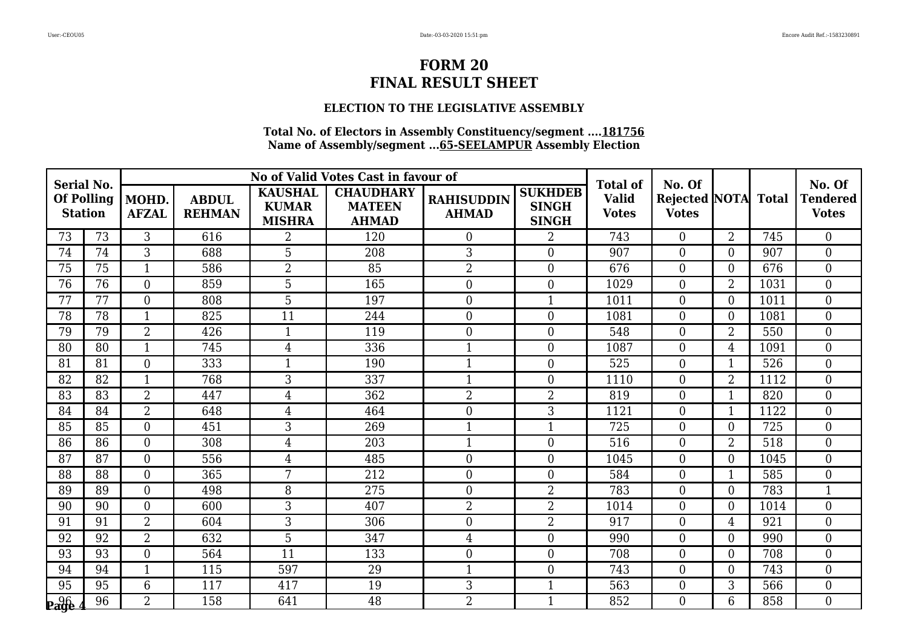### **ELECTION TO THE LEGISLATIVE ASSEMBLY**

| Serial No.                          |    |                       |                               |                                                 | No of Valid Votes Cast in favour of               |                                   |                                                | <b>Total of</b>              | No. Of                              |                |      | No. Of                          |
|-------------------------------------|----|-----------------------|-------------------------------|-------------------------------------------------|---------------------------------------------------|-----------------------------------|------------------------------------------------|------------------------------|-------------------------------------|----------------|------|---------------------------------|
| <b>Of Polling</b><br><b>Station</b> |    | MOHD.<br><b>AFZAL</b> | <b>ABDUL</b><br><b>REHMAN</b> | <b>KAUSHAL</b><br><b>KUMAR</b><br><b>MISHRA</b> | <b>CHAUDHARY</b><br><b>MATEEN</b><br><b>AHMAD</b> | <b>RAHISUDDIN</b><br><b>AHMAD</b> | <b>SUKHDEB</b><br><b>SINGH</b><br><b>SINGH</b> | <b>Valid</b><br><b>Votes</b> | Rejected NOTA Total<br><b>Votes</b> |                |      | <b>Tendered</b><br><b>Votes</b> |
| 73                                  | 73 | 3                     | 616                           | $\overline{2}$                                  | 120                                               | $\theta$                          | $\overline{2}$                                 | 743                          | $\overline{0}$                      | $\overline{2}$ | 745  | $\theta$                        |
| 74                                  | 74 | 3                     | 688                           | 5                                               | 208                                               | 3                                 | $\boldsymbol{0}$                               | 907                          | $\overline{0}$                      | $\overline{0}$ | 907  | $\overline{0}$                  |
| 75                                  | 75 | $\mathbf{1}$          | 586                           | $\overline{2}$                                  | 85                                                | $\overline{2}$                    | $\boldsymbol{0}$                               | 676                          | $\boldsymbol{0}$                    | $\overline{0}$ | 676  | $\boldsymbol{0}$                |
| 76                                  | 76 | $\overline{0}$        | 859                           | 5                                               | 165                                               | $\boldsymbol{0}$                  | $\boldsymbol{0}$                               | 1029                         | $\boldsymbol{0}$                    | $\overline{2}$ | 1031 | $\overline{0}$                  |
| 77                                  | 77 | $\boldsymbol{0}$      | 808                           | 5                                               | 197                                               | $\boldsymbol{0}$                  | $\mathbf{1}$                                   | 1011                         | $\boldsymbol{0}$                    | $\theta$       | 1011 | $\overline{0}$                  |
| 78                                  | 78 | $\mathbf{1}$          | 825                           | 11                                              | 244                                               | $\overline{0}$                    | $\overline{0}$                                 | 1081                         | $\boldsymbol{0}$                    | $\overline{0}$ | 1081 | $\overline{0}$                  |
| 79                                  | 79 | $\overline{2}$        | 426                           | $\mathbf{1}$                                    | 119                                               | $\overline{0}$                    | $\boldsymbol{0}$                               | 548                          | $\overline{0}$                      | $\overline{2}$ | 550  | $\overline{0}$                  |
| 80                                  | 80 | $\mathbf{1}$          | 745                           | 4                                               | 336                                               | $\mathbf{1}$                      | $\boldsymbol{0}$                               | 1087                         | $\boldsymbol{0}$                    | $\overline{4}$ | 1091 | $\overline{0}$                  |
| 81                                  | 81 | $\boldsymbol{0}$      | 333                           | $\mathbf{1}$                                    | 190                                               | $\mathbf{1}$                      | $\boldsymbol{0}$                               | 525                          | $\boldsymbol{0}$                    | $\mathbf 1$    | 526  | $\overline{0}$                  |
| 82                                  | 82 | $\mathbf{1}$          | 768                           | 3                                               | 337                                               | $\mathbf{1}$                      | $\boldsymbol{0}$                               | 1110                         | $\boldsymbol{0}$                    | $\overline{2}$ | 1112 | $\overline{0}$                  |
| 83                                  | 83 | $\overline{2}$        | 447                           | $\overline{4}$                                  | 362                                               | $\overline{2}$                    | $\overline{2}$                                 | 819                          | $\boldsymbol{0}$                    | -1             | 820  | $\boldsymbol{0}$                |
| 84                                  | 84 | $\overline{2}$        | 648                           | $\overline{4}$                                  | 464                                               | $\mathbf{0}$                      | 3                                              | 1121                         | $\boldsymbol{0}$                    |                | 1122 | $\overline{0}$                  |
| 85                                  | 85 | $\overline{0}$        | 451                           | 3                                               | 269                                               | $\mathbf{1}$                      | $\mathbf{1}$                                   | 725                          | $\boldsymbol{0}$                    | $\theta$       | 725  | $\overline{0}$                  |
| 86                                  | 86 | $\overline{0}$        | 308                           | $\overline{4}$                                  | 203                                               | $\mathbf{1}$                      | $\boldsymbol{0}$                               | 516                          | $\boldsymbol{0}$                    | $\overline{2}$ | 518  | $\overline{0}$                  |
| 87                                  | 87 | $\overline{0}$        | 556                           | 4                                               | 485                                               | $\boldsymbol{0}$                  | $\boldsymbol{0}$                               | 1045                         | $\boldsymbol{0}$                    | $\overline{0}$ | 1045 | $\overline{0}$                  |
| 88                                  | 88 | $\overline{0}$        | 365                           | 7                                               | 212                                               | $\boldsymbol{0}$                  | $\boldsymbol{0}$                               | 584                          | $\boldsymbol{0}$                    | 1              | 585  | $\boldsymbol{0}$                |
| 89                                  | 89 | $\boldsymbol{0}$      | 498                           | 8                                               | 275                                               | $\boldsymbol{0}$                  | $\overline{2}$                                 | 783                          | $\boldsymbol{0}$                    | $\overline{0}$ | 783  | $\mathbf{1}$                    |
| 90                                  | 90 | $\overline{0}$        | 600                           | $\overline{3}$                                  | 407                                               | $\overline{2}$                    | $\overline{2}$                                 | 1014                         | $\overline{0}$                      | $\theta$       | 1014 | $\overline{0}$                  |
| 91                                  | 91 | $\overline{2}$        | 604                           | 3                                               | 306                                               | $\mathbf{0}$                      | $\overline{2}$                                 | 917                          | $\boldsymbol{0}$                    | 4              | 921  | $\overline{0}$                  |
| 92                                  | 92 | $\overline{2}$        | 632                           | 5                                               | 347                                               | $\overline{4}$                    | $\boldsymbol{0}$                               | 990                          | $\boldsymbol{0}$                    | $\theta$       | 990  | $\overline{0}$                  |
| 93                                  | 93 | $\overline{0}$        | 564                           | 11                                              | 133                                               | $\overline{0}$                    | $\overline{0}$                                 | 708                          | $\overline{0}$                      | $\theta$       | 708  | $\overline{0}$                  |
| 94                                  | 94 | $\mathbf{1}$          | 115                           | 597                                             | 29                                                | $\mathbf{1}$                      | $\boldsymbol{0}$                               | 743                          | $\boldsymbol{0}$                    | $\overline{0}$ | 743  | $\overline{0}$                  |
| 95                                  | 95 | 6                     | 117                           | 417                                             | 19                                                | 3                                 | $\mathbf{1}$                                   | 563                          | $\boldsymbol{0}$                    | 3              | 566  | $\boldsymbol{0}$                |
| <b>Page</b>                         | 96 | $\overline{2}$        | 158                           | 641                                             | 48                                                | $\overline{2}$                    | $\mathbf{1}$                                   | 852                          | $\Omega$                            | 6              | 858  | $\theta$                        |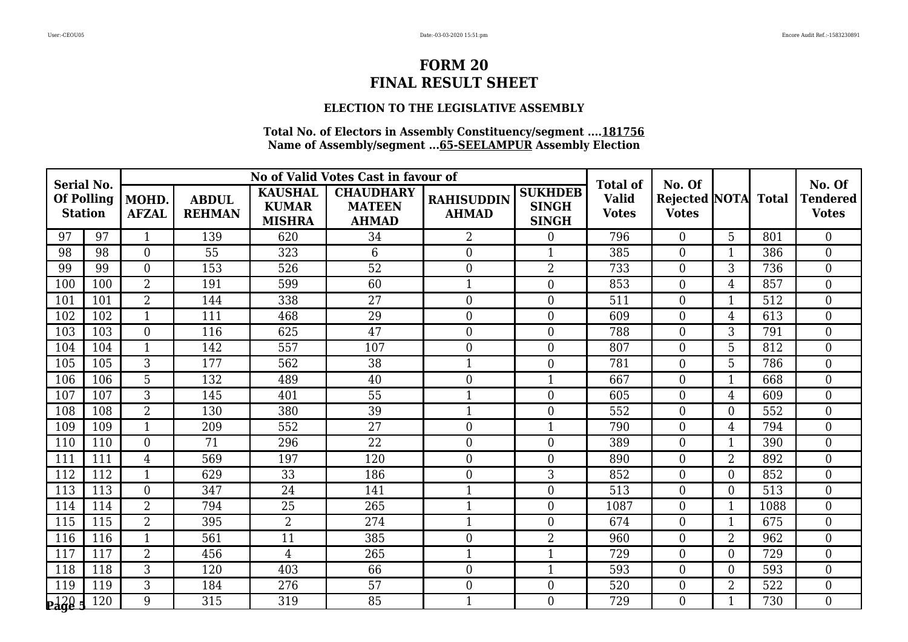### **ELECTION TO THE LEGISLATIVE ASSEMBLY**

| Serial No.                                  |     |                       |                               |                                                 | No of Valid Votes Cast in favour of               |                                   |                                                | <b>Total of</b>              | No. Of                              |                |      | No. Of                          |
|---------------------------------------------|-----|-----------------------|-------------------------------|-------------------------------------------------|---------------------------------------------------|-----------------------------------|------------------------------------------------|------------------------------|-------------------------------------|----------------|------|---------------------------------|
| <b>Of Polling</b><br><b>Station</b>         |     | MOHD.<br><b>AFZAL</b> | <b>ABDUL</b><br><b>REHMAN</b> | <b>KAUSHAL</b><br><b>KUMAR</b><br><b>MISHRA</b> | <b>CHAUDHARY</b><br><b>MATEEN</b><br><b>AHMAD</b> | <b>RAHISUDDIN</b><br><b>AHMAD</b> | <b>SUKHDEB</b><br><b>SINGH</b><br><b>SINGH</b> | <b>Valid</b><br><b>Votes</b> | Rejected NOTA Total<br><b>Votes</b> |                |      | <b>Tendered</b><br><b>Votes</b> |
| 97                                          | 97  | $\mathbf{1}$          | 139                           | 620                                             | 34                                                | $\overline{2}$                    | $\boldsymbol{0}$                               | 796                          | $\overline{0}$                      | 5              | 801  | $\theta$                        |
| 98                                          | 98  | $\overline{0}$        | 55                            | 323                                             | 6                                                 | $\boldsymbol{0}$                  |                                                | 385                          | $\boldsymbol{0}$                    |                | 386  | $\overline{0}$                  |
| 99                                          | 99  | $\boldsymbol{0}$      | 153                           | 526                                             | $\overline{52}$                                   | $\mathbf{0}$                      | $\overline{2}$                                 | 733                          | $\boldsymbol{0}$                    | 3              | 736  | $\boldsymbol{0}$                |
| 100                                         | 100 | $\overline{2}$        | 191                           | 599                                             | 60                                                | $\mathbf{1}$                      | $\boldsymbol{0}$                               | 853                          | $\boldsymbol{0}$                    | $\overline{4}$ | 857  | $\overline{0}$                  |
| 101                                         | 101 | $\overline{2}$        | 144                           | 338                                             | $\overline{27}$                                   | $\overline{0}$                    | $\boldsymbol{0}$                               | 511                          | $\boldsymbol{0}$                    | $\mathbf 1$    | 512  | $\overline{0}$                  |
| 102                                         | 102 | $\mathbf{1}$          | 111                           | 468                                             | 29                                                | $\mathbf{0}$                      | $\boldsymbol{0}$                               | 609                          | $\boldsymbol{0}$                    | $\overline{4}$ | 613  | $\boldsymbol{0}$                |
| 103                                         | 103 | $\overline{0}$        | 116                           | 625                                             | 47                                                | $\overline{0}$                    | $\boldsymbol{0}$                               | 788                          | $\boldsymbol{0}$                    | 3              | 791  | $\overline{0}$                  |
| 104                                         | 104 | $\mathbf{1}$          | 142                           | 557                                             | 107                                               | $\boldsymbol{0}$                  | $\boldsymbol{0}$                               | 807                          | $\boldsymbol{0}$                    | 5              | 812  | $\mathbf{0}$                    |
| 105                                         | 105 | 3                     | 177                           | 562                                             | 38                                                | $\mathbf{1}$                      | $\boldsymbol{0}$                               | 781                          | $\boldsymbol{0}$                    | 5              | 786  | $\mathbf{0}$                    |
| 106                                         | 106 | $\overline{5}$        | 132                           | 489                                             | 40                                                | $\overline{0}$                    | $\mathbf{1}$                                   | 667                          | $\overline{0}$                      |                | 668  | $\overline{0}$                  |
| 107                                         | 107 | 3                     | 145                           | 401                                             | 55                                                | $\mathbf 1$                       | $\boldsymbol{0}$                               | 605                          | $\boldsymbol{0}$                    | $\overline{4}$ | 609  | $\overline{0}$                  |
| 108                                         | 108 | $\overline{2}$        | 130                           | 380                                             | 39                                                | $\mathbf{1}$                      | $\boldsymbol{0}$                               | 552                          | $\boldsymbol{0}$                    | $\overline{0}$ | 552  | $\overline{0}$                  |
| 109                                         | 109 | $\mathbf{1}$          | 209                           | 552                                             | 27                                                | $\boldsymbol{0}$                  | $\mathbf{1}$                                   | 790                          | $\boldsymbol{0}$                    | $\overline{4}$ | 794  | $\boldsymbol{0}$                |
| 110                                         | 110 | $\overline{0}$        | 71                            | 296                                             | 22                                                | $\overline{0}$                    | $\boldsymbol{0}$                               | 389                          | $\overline{0}$                      | $\mathbf{1}$   | 390  | $\overline{0}$                  |
| 111                                         | 111 | $\overline{4}$        | 569                           | 197                                             | 120                                               | $\overline{0}$                    | $\boldsymbol{0}$                               | 890                          | $\boldsymbol{0}$                    | $\overline{2}$ | 892  | $\overline{0}$                  |
| 112                                         | 112 | $\mathbf{1}$          | 629                           | 33                                              | 186                                               | $\mathbf{0}$                      | 3                                              | 852                          | $\boldsymbol{0}$                    | $\overline{0}$ | 852  | $\boldsymbol{0}$                |
| 113                                         | 113 | $\overline{0}$        | 347                           | 24                                              | 141                                               | $\mathbf{1}$                      | $\boldsymbol{0}$                               | 513                          | $\boldsymbol{0}$                    | $\theta$       | 513  | $\overline{0}$                  |
| 114                                         | 114 | $\overline{2}$        | 794                           | $\overline{25}$                                 | 265                                               | $\mathbf{1}$                      | $\boldsymbol{0}$                               | 1087                         | $\boldsymbol{0}$                    | $\mathbf 1$    | 1088 | $\overline{0}$                  |
| 115                                         | 115 | $\overline{2}$        | 395                           | $\overline{2}$                                  | 274                                               | $\mathbf{1}$                      | $\boldsymbol{0}$                               | 674                          | $\overline{0}$                      |                | 675  | $\overline{0}$                  |
| 116                                         | 116 | $\mathbf{1}$          | 561                           | 11                                              | 385                                               | $\boldsymbol{0}$                  | $\overline{2}$                                 | 960                          | $\boldsymbol{0}$                    | $\overline{2}$ | 962  | $\boldsymbol{0}$                |
| 117                                         | 117 | $\overline{2}$        | 456                           | $\overline{4}$                                  | 265                                               | $\mathbf{1}$                      | $\mathbf{1}$                                   | 729                          | $\overline{0}$                      | $\theta$       | 729  | $\overline{0}$                  |
| 118                                         | 118 | 3                     | 120                           | 403                                             | 66                                                | $\boldsymbol{0}$                  | $\mathbf{1}$                                   | 593                          | $\boldsymbol{0}$                    | $\overline{0}$ | 593  | $\overline{0}$                  |
| 119                                         | 119 | 3                     | 184                           | 276                                             | 57                                                | $\boldsymbol{0}$                  | $\boldsymbol{0}$                               | 520                          | $\boldsymbol{0}$                    | $\overline{2}$ | 522  | $\mathbf{0}$                    |
| $\mathbf{p}_\mathbf{a}\mathbf{g}\mathbf{e}$ | 120 | 9                     | 315                           | 319                                             | 85                                                | $\mathbf{1}$                      | $\theta$                                       | 729                          | $\Omega$                            |                | 730  | $\Omega$                        |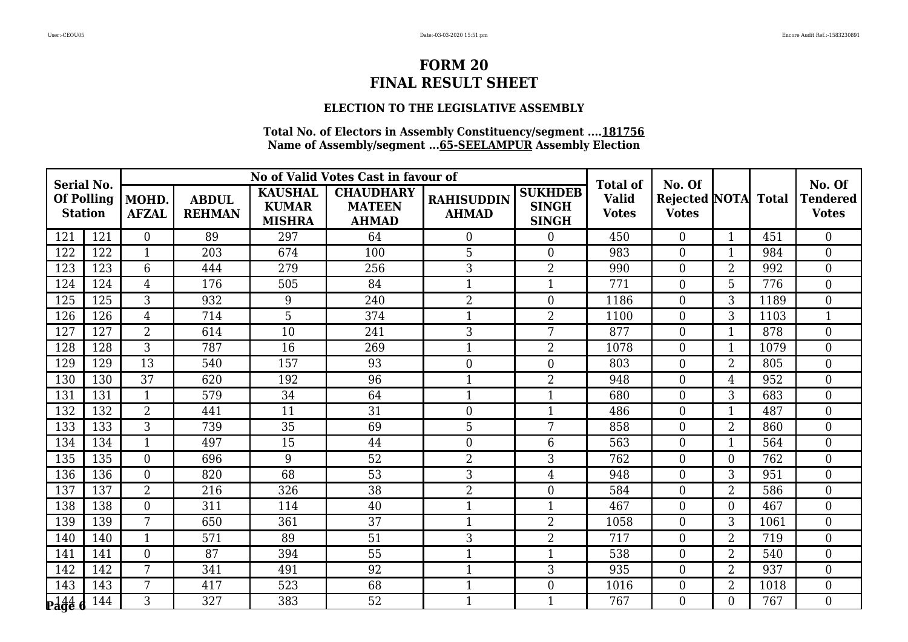### **ELECTION TO THE LEGISLATIVE ASSEMBLY**

| <b>Serial No.</b>                   |                  |                       |                               |                                                 | No of Valid Votes Cast in favour of               |                                   |                                                | <b>Total of</b>              | No. Of                                     |                |      | No. Of                          |
|-------------------------------------|------------------|-----------------------|-------------------------------|-------------------------------------------------|---------------------------------------------------|-----------------------------------|------------------------------------------------|------------------------------|--------------------------------------------|----------------|------|---------------------------------|
| <b>Of Polling</b><br><b>Station</b> |                  | MOHD.<br><b>AFZAL</b> | <b>ABDUL</b><br><b>REHMAN</b> | <b>KAUSHAL</b><br><b>KUMAR</b><br><b>MISHRA</b> | <b>CHAUDHARY</b><br><b>MATEEN</b><br><b>AHMAD</b> | <b>RAHISUDDIN</b><br><b>AHMAD</b> | <b>SUKHDEB</b><br><b>SINGH</b><br><b>SINGH</b> | <b>Valid</b><br><b>Votes</b> | <b>Rejected NOTA</b> Total<br><b>Votes</b> |                |      | <b>Tendered</b><br><b>Votes</b> |
| 121                                 | 121              | $\overline{0}$        | 89                            | 297                                             | 64                                                | $\overline{0}$                    | $\boldsymbol{0}$                               | 450                          | $\overline{0}$                             | $\mathbf{1}$   | 451  | $\overline{0}$                  |
| 122                                 | 122              | $\mathbf{1}$          | 203                           | 674                                             | 100                                               | 5                                 | $\boldsymbol{0}$                               | 983                          | $\overline{0}$                             | $\mathbf 1$    | 984  | $\theta$                        |
| 123                                 | 123              | 6                     | 444                           | 279                                             | 256                                               | 3                                 | $\overline{2}$                                 | 990                          | $\overline{0}$                             | $\overline{2}$ | 992  | $\overline{0}$                  |
| 124                                 | 124              | $\overline{4}$        | 176                           | 505                                             | 84                                                | $\mathbf{1}$                      | $\mathbf{1}$                                   | 771                          | $\overline{0}$                             | 5              | 776  | $\theta$                        |
| 125                                 | 125              | 3                     | 932                           | 9                                               | 240                                               | $\overline{2}$                    | $\boldsymbol{0}$                               | 1186                         | $\boldsymbol{0}$                           | 3              | 1189 | $\overline{0}$                  |
| 126                                 | 126              | $\overline{4}$        | 714                           | 5                                               | 374                                               | $\overline{1}$                    | $\overline{2}$                                 | 1100                         | $\boldsymbol{0}$                           | 3              | 1103 | $\mathbf{1}$                    |
| 127                                 | 127              | $\overline{2}$        | 614                           | 10                                              | 241                                               | 3                                 | 7                                              | 877                          | $\overline{0}$                             | $\mathbf{1}$   | 878  | $\overline{0}$                  |
| 128                                 | 128              | 3                     | 787                           | 16                                              | 269                                               | $\mathbf{1}$                      | $\overline{2}$                                 | 1078                         | $\overline{0}$                             | $\mathbf{1}$   | 1079 | $\theta$                        |
| 129                                 | 129              | $\overline{13}$       | 540                           | 157                                             | 93                                                | $\overline{0}$                    | $\boldsymbol{0}$                               | 803                          | $\theta$                                   | $\overline{2}$ | 805  | $\overline{0}$                  |
| 130                                 | 130              | 37                    | 620                           | 192                                             | 96                                                | $\mathbf 1$                       | $\overline{2}$                                 | 948                          | $\overline{0}$                             | $\overline{4}$ | 952  | $\overline{0}$                  |
| 131                                 | 131              | $\mathbf{1}$          | 579                           | 34                                              | 64                                                | $\mathbf{1}$                      | $\mathbf{1}$                                   | 680                          | $\overline{0}$                             | 3              | 683  | $\overline{0}$                  |
| 132                                 | 132              | $\overline{2}$        | 441                           | 11                                              | 31                                                | $\overline{0}$                    | $\mathbf{1}$                                   | 486                          | $\overline{0}$                             | $\mathbf{1}$   | 487  | $\theta$                        |
| 133                                 | 133              | 3                     | 739                           | 35                                              | 69                                                | 5                                 | 7                                              | 858                          | $\overline{0}$                             | $\overline{2}$ | 860  | $\overline{0}$                  |
| 134                                 | $13\overline{4}$ | $\mathbf{1}$          | 497                           | $\overline{15}$                                 | 44                                                | $\boldsymbol{0}$                  | $\,6\,$                                        | 563                          | $\overline{0}$                             | $\mathbf{1}$   | 564  | $\overline{0}$                  |
| 135                                 | 135              | $\overline{0}$        | 696                           | 9                                               | 52                                                | $\overline{2}$                    | 3                                              | 762                          | $\theta$                                   | $\Omega$       | 762  | $\Omega$                        |
| 136                                 | 136              | $\overline{0}$        | 820                           | 68                                              | 53                                                | 3                                 | $\overline{4}$                                 | 948                          | $\boldsymbol{0}$                           | 3              | 951  | $\overline{0}$                  |
| 137                                 | 137              | $\overline{2}$        | 216                           | 326                                             | 38                                                | $\overline{2}$                    | $\boldsymbol{0}$                               | 584                          | $\overline{0}$                             | $\overline{2}$ | 586  | $\boldsymbol{0}$                |
| 138                                 | 138              | $\overline{0}$        | 311                           | 114                                             | 40                                                | $\mathbf{1}$                      | $\mathbf{1}$                                   | 467                          | $\overline{0}$                             | $\Omega$       | 467  | $\theta$                        |
| 139                                 | 139              | 7                     | 650                           | 361                                             | $\overline{37}$                                   | $\mathbf{1}$                      | $\overline{2}$                                 | 1058                         | $\overline{0}$                             | 3              | 1061 | $\theta$                        |
| 140                                 | 140              | $\mathbf{1}$          | 571                           | 89                                              | 51                                                | 3                                 | $\overline{2}$                                 | 717                          | $\overline{0}$                             | $\overline{2}$ | 719  | $\overline{0}$                  |
| 141                                 | 141              | $\overline{0}$        | 87                            | 394                                             | 55                                                | $\mathbf{1}$                      | $\mathbf{1}$                                   | 538                          | $\overline{0}$                             | $\overline{2}$ | 540  | $\theta$                        |
| 142                                 | 142              | 7                     | 341                           | 491                                             | 92                                                | $\mathbf{1}$                      | 3                                              | 935                          | $\boldsymbol{0}$                           | $\overline{2}$ | 937  | $\overline{0}$                  |
| 143                                 | 143              | 7                     | 417                           | 523                                             | 68                                                | $\mathbf{1}$                      | $\boldsymbol{0}$                               | 1016                         | $\boldsymbol{0}$                           | $\overline{2}$ | 1018 | $\boldsymbol{0}$                |
| $\frac{144}{666}$                   | 144              | 3                     | 327                           | 383                                             | 52                                                | $\mathbf{1}$                      | $\mathbf{1}$                                   | 767                          | $\Omega$                                   | $\Omega$       | 767  | $\theta$                        |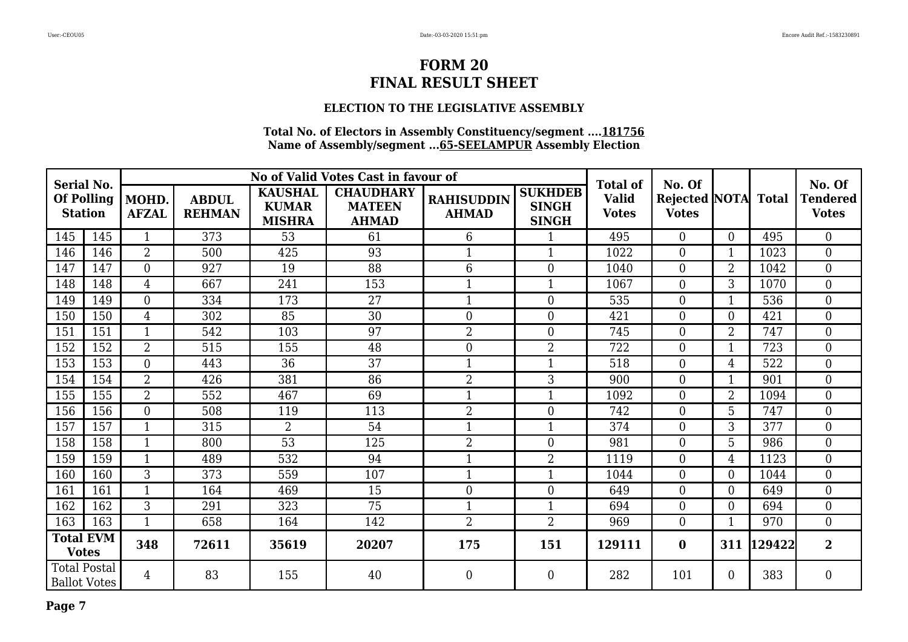### **ELECTION TO THE LEGISLATIVE ASSEMBLY**

| <b>Serial No.</b>                   |                     |                       |                               |                                                 | No of Valid Votes Cast in favour of               |                                   |                                                | <b>Total of</b>              | No. Of                                     |                |        | No. Of                          |
|-------------------------------------|---------------------|-----------------------|-------------------------------|-------------------------------------------------|---------------------------------------------------|-----------------------------------|------------------------------------------------|------------------------------|--------------------------------------------|----------------|--------|---------------------------------|
| <b>Of Polling</b><br><b>Station</b> |                     | MOHD.<br><b>AFZAL</b> | <b>ABDUL</b><br><b>REHMAN</b> | <b>KAUSHAL</b><br><b>KUMAR</b><br><b>MISHRA</b> | <b>CHAUDHARY</b><br><b>MATEEN</b><br><b>AHMAD</b> | <b>RAHISUDDIN</b><br><b>AHMAD</b> | <b>SUKHDEB</b><br><b>SINGH</b><br><b>SINGH</b> | <b>Valid</b><br><b>Votes</b> | <b>Rejected NOTA</b> Total<br><b>Votes</b> |                |        | <b>Tendered</b><br><b>Votes</b> |
| 145                                 | 145                 |                       | 373                           | 53                                              | 61                                                | 6                                 |                                                | 495                          | $\overline{0}$                             | $\Omega$       | 495    | $\overline{0}$                  |
| 146                                 | 146                 | $\overline{2}$        | 500                           | 425                                             | 93                                                | $\mathbf{1}$                      |                                                | 1022                         | $\overline{0}$                             |                | 1023   | $\overline{0}$                  |
| 147                                 | 147                 | $\overline{0}$        | 927                           | 19                                              | 88                                                | 6                                 | $\boldsymbol{0}$                               | 1040                         | $\boldsymbol{0}$                           | $\overline{2}$ | 1042   | $\boldsymbol{0}$                |
| 148                                 | 148                 | $\overline{4}$        | 667                           | 241                                             | 153                                               | $\mathbf{1}$                      | $\mathbf{1}$                                   | 1067                         | $\overline{0}$                             | 3              | 1070   | $\theta$                        |
| 149                                 | 149                 | $\overline{0}$        | 334                           | 173                                             | 27                                                | $\mathbf{1}$                      | $\overline{0}$                                 | 535                          | $\boldsymbol{0}$                           |                | 536    | $\overline{0}$                  |
| 150                                 | 150                 | $\overline{4}$        | 302                           | 85                                              | 30                                                | $\overline{0}$                    | $\overline{0}$                                 | 421                          | $\boldsymbol{0}$                           | $\theta$       | 421    | $\overline{0}$                  |
| 151                                 | 151                 | $\mathbf{1}$          | 542                           | 103                                             | 97                                                | $\overline{2}$                    | $\overline{0}$                                 | 745                          | $\boldsymbol{0}$                           | $\overline{2}$ | 747    | $\boldsymbol{0}$                |
| 152                                 | 152                 | $\overline{2}$        | 515                           | 155                                             | 48                                                | $\overline{0}$                    | $\overline{2}$                                 | 722                          | $\overline{0}$                             |                | 723    | $\boldsymbol{0}$                |
| 153                                 | 153                 | $\overline{0}$        | 443                           | 36                                              | $\overline{37}$                                   | $\mathbf{1}$                      | 1                                              | 518                          | $\overline{0}$                             | 4              | 522    | $\theta$                        |
| 154                                 | 154                 | $\overline{2}$        | 426                           | 381                                             | 86                                                | $\overline{2}$                    | 3                                              | 900                          | $\overline{0}$                             |                | 901    | $\overline{0}$                  |
| 155                                 | 155                 | $\overline{2}$        | 552                           | 467                                             | 69                                                | $\mathbf{1}$                      | 1                                              | 1092                         | $\boldsymbol{0}$                           | $\overline{2}$ | 1094   | $\overline{0}$                  |
| 156                                 | 156                 | $\overline{0}$        | 508                           | 119                                             | 113                                               | $\overline{2}$                    | $\overline{0}$                                 | 742                          | $\overline{0}$                             | 5              | 747    | $\boldsymbol{0}$                |
| 157                                 | 157                 | $\mathbf{1}$          | 315                           | $\overline{2}$                                  | 54                                                | $\mathbf{1}$                      | $\mathbf{1}$                                   | 374                          | $\overline{0}$                             | 3              | 377    | $\overline{0}$                  |
| 158                                 | 158                 | $\mathbf{1}$          | 800                           | $\overline{53}$                                 | 125                                               | $\overline{2}$                    | $\overline{0}$                                 | 981                          | $\boldsymbol{0}$                           | 5              | 986    | $\overline{0}$                  |
| 159                                 | 159                 |                       | 489                           | 532                                             | 94                                                |                                   | 2                                              | 1119                         | $\boldsymbol{0}$                           | 4              | 1123   | $\overline{0}$                  |
| 160                                 | 160                 | 3                     | 373                           | 559                                             | 107                                               | $\mathbf{1}$                      | 1                                              | 1044                         | $\boldsymbol{0}$                           | $\theta$       | 1044   | $\overline{0}$                  |
| 161                                 | 161                 |                       | 164                           | 469                                             | 15                                                | $\boldsymbol{0}$                  | $\overline{0}$                                 | 649                          | $\overline{0}$                             | $\overline{0}$ | 649    | $\boldsymbol{0}$                |
| 162                                 | 162                 | 3                     | 291                           | 323                                             | $\overline{75}$                                   | $\mathbf{1}$                      | $\mathbf{1}$                                   | 694                          | $\overline{0}$                             | $\theta$       | 694    | $\overline{0}$                  |
| 163                                 | 163                 | $\mathbf{1}$          | 658                           | 164                                             | 142                                               | $\overline{2}$                    | $\overline{2}$                                 | 969                          | $\overline{0}$                             | 1              | 970    | $\overline{0}$                  |
| <b>Votes</b>                        | <b>Total EVM</b>    | 348                   | 72611                         | 35619                                           | 20207                                             | 175                               | 151                                            | 129111                       | $\bf{0}$                                   | 311            | 129422 | $\overline{2}$                  |
| <b>Total Postal</b>                 | <b>Ballot Votes</b> | $\overline{4}$        | 83                            | 155                                             | 40                                                | $\boldsymbol{0}$                  | $\boldsymbol{0}$                               | 282                          | 101                                        | $\overline{0}$ | 383    | $\boldsymbol{0}$                |